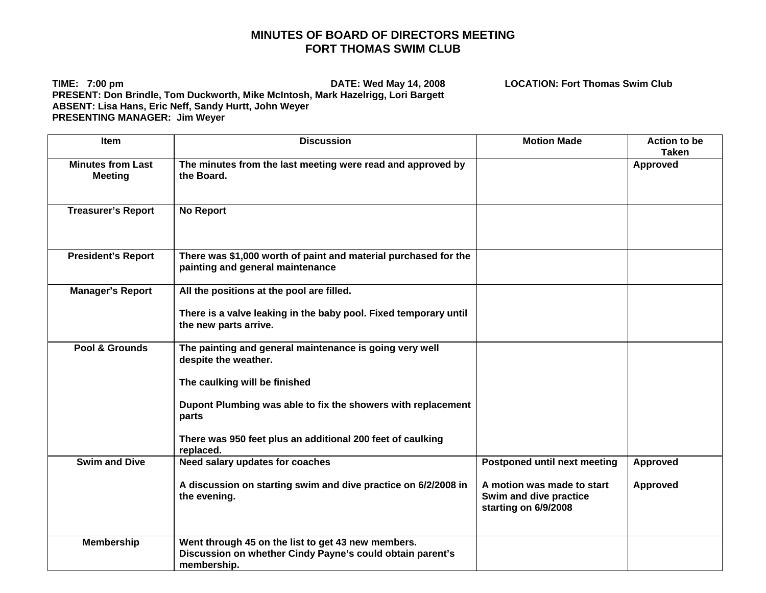## **MINUTES OF BOARD OF DIRECTORS MEETING FORT THOMAS SWIM CLUB**

**TIME: 7:00 pm DATE: Wed May 14, 2008 LOCATION: Fort Thomas Swim Club PRESENT: Don Brindle, Tom Duckworth, Mike McIntosh, Mark Hazelrigg, Lori Bargett ABSENT: Lisa Hans, Eric Neff, Sandy Hurtt, John Weyer PRESENTING MANAGER: Jim Weyer** 

Item Discussion Motion Made Action to be **Taken Minutes from Last Meeting The minutes from the last meeting were read and approved by the Board. Approved Treasurer's Report | No Report President's Report There was \$1,000 worth of paint and material purchased for the painting and general maintenance**  Manager's Report All the positions at the pool are filled. **There is a valve leaking in the baby pool. Fixed temporary until the new parts arrive. Pool & Grounds** The painting and general maintenance is going very well **despite the weather. The caulking will be finished Dupont Plumbing was able to fix the showers with replacement parts There was 950 feet plus an additional 200 feet of caulking replaced. Swim and Dive | Need salary updates for coaches A discussion on starting swim and dive practice on 6/2/2008 in the evening. Postponed until next meeting A motion was made to start Swim and dive practice starting on 6/9/2008 Approved Approved Membership Went through 45 on the list to get 43 new members. Discussion on whether Cindy Payne's could obtain parent's membership.**